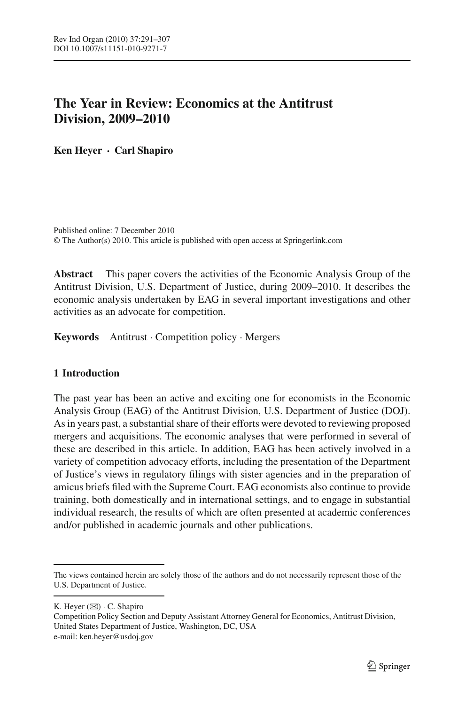# **The Year in Review: Economics at the Antitrust Division, 2009–2010**

**Ken Heyer · Carl Shapiro**

Published online: 7 December 2010 © The Author(s) 2010. This article is published with open access at Springerlink.com

**Abstract** This paper covers the activities of the Economic Analysis Group of the Antitrust Division, U.S. Department of Justice, during 2009–2010. It describes the economic analysis undertaken by EAG in several important investigations and other activities as an advocate for competition.

**Keywords** Antitrust · Competition policy · Mergers

# <span id="page-0-0"></span>**1 Introduction**

The past year has been an active and exciting one for economists in the Economic Analysis Group (EAG) of the Antitrust Division, U.S. Department of Justice (DOJ). As in years past, a substantial share of their efforts were devoted to reviewing proposed mergers and acquisitions. The economic analyses that were performed in several of these are described in this article. In addition, EAG has been actively involved in a variety of competition advocacy efforts, including the presentation of the Department of Justice's views in regulatory filings with sister agencies and in the preparation of amicus briefs filed with the Supreme Court. EAG economists also continue to provide training, both domestically and in international settings, and to engage in substantial individual research, the results of which are often presented at academic conferences and/or published in academic journals and other publications.

K. Heyer  $(\boxtimes) \cdot C$ . Shapiro

Competition Policy Section and Deputy Assistant Attorney General for Economics, Antitrust Division, United States Department of Justice, Washington, DC, USA e-mail: ken.heyer@usdoj.gov

The views contained herein are solely those of the authors and do not necessarily represent those of the U.S. Department of Justice.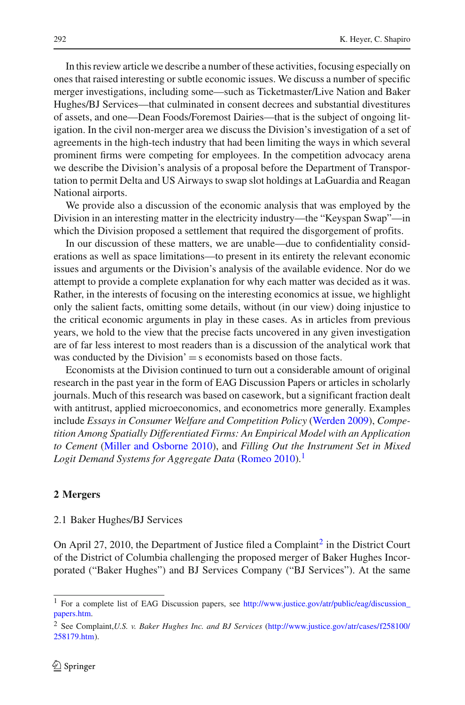In this review article we describe a number of these activities, focusing especially on ones that raised interesting or subtle economic issues. We discuss a number of specific merger investigations, including some—such as Ticketmaster/Live Nation and Baker Hughes/BJ Services—that culminated in consent decrees and substantial divestitures of assets, and one—Dean Foods/Foremost Dairies—that is the subject of ongoing litigation. In the civil non-merger area we discuss the Division's investigation of a set of agreements in the high-tech industry that had been limiting the ways in which several prominent firms were competing for employees. In the competition advocacy arena we describe the Division's analysis of a proposal before the Department of Transportation to permit Delta and US Airways to swap slot holdings at LaGuardia and Reagan National airports.

We provide also a discussion of the economic analysis that was employed by the Division in an interesting matter in the electricity industry—the "Keyspan Swap"—in which the Division proposed a settlement that required the disgorgement of profits.

In our discussion of these matters, we are unable—due to confidentiality considerations as well as space limitations—to present in its entirety the relevant economic issues and arguments or the Division's analysis of the available evidence. Nor do we attempt to provide a complete explanation for why each matter was decided as it was. Rather, in the interests of focusing on the interesting economics at issue, we highlight only the salient facts, omitting some details, without (in our view) doing injustice to the critical economic arguments in play in these cases. As in articles from previous years, we hold to the view that the precise facts uncovered in any given investigation are of far less interest to most readers than is a discussion of the analytical work that was conducted by the Division'  $=$  s economists based on those facts.

Economists at the Division continued to turn out a considerable amount of original research in the past year in the form of EAG Discussion Papers or articles in scholarly journals. Much of this research was based on casework, but a significant fraction dealt with antitrust, applied microeconomics, and econometrics more generally. Examples include *Essays in Consumer Welfare and Competition Policy* [\(Werden 2009\)](#page-16-0), *Competition Among Spatially Differentiated Firms: An Empirical Model with an Application to Cement* [\(Miller and Osborne 2010\)](#page-16-1), and *Filling Out the Instrument Set in Mixed* Logit Demand Systems for Aggregate Data [\(Romeo 2010](#page-16-2)).<sup>[1](#page-1-0)</sup>

## **2 Mergers**

#### 2.1 Baker Hughes/BJ Services

On April [2](#page-1-1)7, 2010, the Department of Justice filed a Complaint<sup>2</sup> in the District Court of the District of Columbia challenging the proposed merger of Baker Hughes Incorporated ("Baker Hughes") and BJ Services Company ("BJ Services"). At the same

<span id="page-1-0"></span><sup>&</sup>lt;sup>1</sup> For a complete list of EAG Discussion papers, see http://www.justice.gov/atr/public/eag/discussion\_ papers.htm.

<span id="page-1-1"></span><sup>2</sup> See Complaint,*U.S. v. Baker Hughes Inc. and BJ Services* [\(http://www.justice.gov/atr/cases/f258100/](http://www.justice.gov/atr/cases/f258100/258179.htm) [258179.htm\)](http://www.justice.gov/atr/cases/f258100/258179.htm).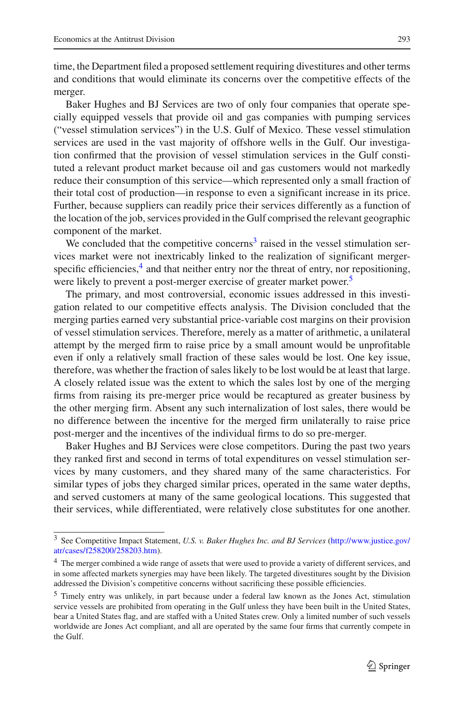time, the Department filed a proposed settlement requiring divestitures and other terms and conditions that would eliminate its concerns over the competitive effects of the merger.

Baker Hughes and BJ Services are two of only four companies that operate specially equipped vessels that provide oil and gas companies with pumping services ("vessel stimulation services") in the U.S. Gulf of Mexico. These vessel stimulation services are used in the vast majority of offshore wells in the Gulf. Our investigation confirmed that the provision of vessel stimulation services in the Gulf constituted a relevant product market because oil and gas customers would not markedly reduce their consumption of this service—which represented only a small fraction of their total cost of production—in response to even a significant increase in its price. Further, because suppliers can readily price their services differently as a function of the location of the job, services provided in the Gulf comprised the relevant geographic component of the market.

We concluded that the competitive concerns<sup>3</sup> raised in the vessel stimulation services market were not inextricably linked to the realization of significant mergerspecific efficiencies, $\frac{4}{3}$  $\frac{4}{3}$  $\frac{4}{3}$  and that neither entry nor the threat of entry, nor repositioning, were likely to prevent a post-merger exercise of greater market power.<sup>5</sup>

The primary, and most controversial, economic issues addressed in this investigation related to our competitive effects analysis. The Division concluded that the merging parties earned very substantial price-variable cost margins on their provision of vessel stimulation services. Therefore, merely as a matter of arithmetic, a unilateral attempt by the merged firm to raise price by a small amount would be unprofitable even if only a relatively small fraction of these sales would be lost. One key issue, therefore, was whether the fraction of sales likely to be lost would be at least that large. A closely related issue was the extent to which the sales lost by one of the merging firms from raising its pre-merger price would be recaptured as greater business by the other merging firm. Absent any such internalization of lost sales, there would be no difference between the incentive for the merged firm unilaterally to raise price post-merger and the incentives of the individual firms to do so pre-merger.

Baker Hughes and BJ Services were close competitors. During the past two years they ranked first and second in terms of total expenditures on vessel stimulation services by many customers, and they shared many of the same characteristics. For similar types of jobs they charged similar prices, operated in the same water depths, and served customers at many of the same geological locations. This suggested that their services, while differentiated, were relatively close substitutes for one another.

<span id="page-2-0"></span><sup>3</sup> See Competitive Impact Statement, *U.S. v. Baker Hughes Inc. and BJ Services* [\(http://www.justice.gov/](http://www.justice.gov/atr/cases/f258200/258203.htm) [atr/cases/f258200/258203.htm\)](http://www.justice.gov/atr/cases/f258200/258203.htm).

<span id="page-2-1"></span><sup>&</sup>lt;sup>4</sup> The merger combined a wide range of assets that were used to provide a variety of different services, and in some affected markets synergies may have been likely. The targeted divestitures sought by the Division addressed the Division's competitive concerns without sacrificing these possible efficiencies.

<span id="page-2-2"></span><sup>5</sup> Timely entry was unlikely, in part because under a federal law known as the Jones Act, stimulation service vessels are prohibited from operating in the Gulf unless they have been built in the United States, bear a United States flag, and are staffed with a United States crew. Only a limited number of such vessels worldwide are Jones Act compliant, and all are operated by the same four firms that currently compete in the Gulf.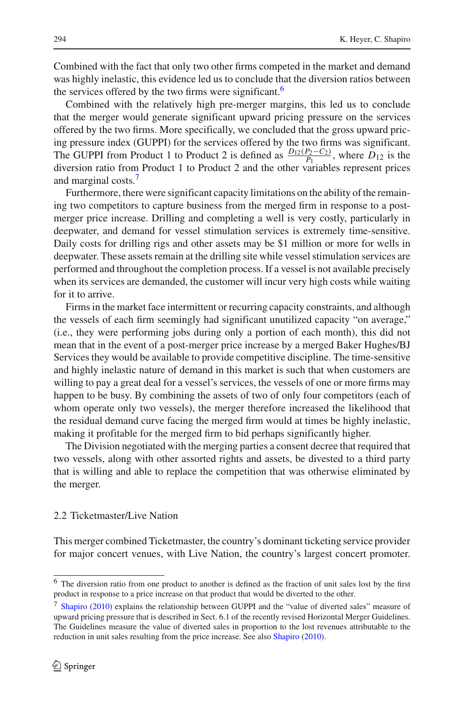Combined with the fact that only two other firms competed in the market and demand was highly inelastic, this evidence led us to conclude that the diversion ratios between the services offered by the two firms were significant.<sup>6</sup>

Combined with the relatively high pre-merger margins, this led us to conclude that the merger would generate significant upward pricing pressure on the services offered by the two firms. More specifically, we concluded that the gross upward pricing pressure index (GUPPI) for the services offered by the two firms was significant. The GUPPI from Product 1 to Product 2 is defined as  $\frac{D_{12}(P_2 - C_2)}{P_1}$ , where  $D_{12}$  is the diversion ratio from Product 1 to Product 2 and the other variables represent prices and marginal costs.<sup>[7](#page-3-1)</sup>

Furthermore, there were significant capacity limitations on the ability of the remaining two competitors to capture business from the merged firm in response to a postmerger price increase. Drilling and completing a well is very costly, particularly in deepwater, and demand for vessel stimulation services is extremely time-sensitive. Daily costs for drilling rigs and other assets may be \$1 million or more for wells in deepwater. These assets remain at the drilling site while vessel stimulation services are performed and throughout the completion process. If a vessel is not available precisely when its services are demanded, the customer will incur very high costs while waiting for it to arrive.

Firms in the market face intermittent or recurring capacity constraints, and although the vessels of each firm seemingly had significant unutilized capacity "on average," (i.e., they were performing jobs during only a portion of each month), this did not mean that in the event of a post-merger price increase by a merged Baker Hughes/BJ Services they would be available to provide competitive discipline. The time-sensitive and highly inelastic nature of demand in this market is such that when customers are willing to pay a great deal for a vessel's services, the vessels of one or more firms may happen to be busy. By combining the assets of two of only four competitors (each of whom operate only two vessels), the merger therefore increased the likelihood that the residual demand curve facing the merged firm would at times be highly inelastic, making it profitable for the merged firm to bid perhaps significantly higher.

The Division negotiated with the merging parties a consent decree that required that two vessels, along with other assorted rights and assets, be divested to a third party that is willing and able to replace the competition that was otherwise eliminated by the merger.

#### 2.2 Ticketmaster/Live Nation

This merger combined Ticketmaster, the country's dominant ticketing service provider for major concert venues, with Live Nation, the country's largest concert promoter.

<span id="page-3-0"></span><sup>&</sup>lt;sup>6</sup> The diversion ratio from one product to another is defined as the fraction of unit sales lost by the first product in response to a price increase on that product that would be diverted to the other.

<span id="page-3-1"></span><sup>7</sup> [Shapiro](#page-16-3) [\(2010\)](#page-16-3) explains the relationship between GUPPI and the "value of diverted sales" measure of upward pricing pressure that is described in Sect. 6.1 of the recently revised Horizontal Merger Guidelines. The Guidelines measure the value of diverted sales in proportion to the lost revenues attributable to the reduction in unit sales resulting from the price increase. See also [Shapiro](#page-16-3) [\(2010\)](#page-16-3).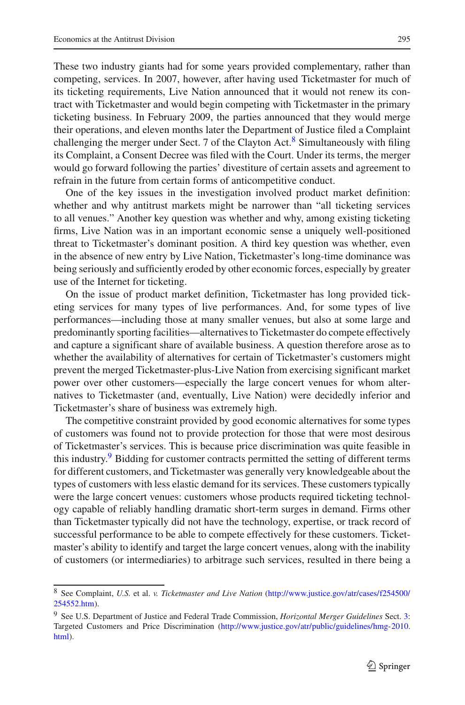These two industry giants had for some years provided complementary, rather than competing, services. In 2007, however, after having used Ticketmaster for much of its ticketing requirements, Live Nation announced that it would not renew its contract with Ticketmaster and would begin competing with Ticketmaster in the primary ticketing business. In February 2009, the parties announced that they would merge their operations, and eleven months later the Department of Justice filed a Complaint challenging the merger under Sect. 7 of the Clayton Act.<sup>8</sup> Simultaneously with filing its Complaint, a Consent Decree was filed with the Court. Under its terms, the merger would go forward following the parties' divestiture of certain assets and agreement to refrain in the future from certain forms of anticompetitive conduct.

One of the key issues in the investigation involved product market definition: whether and why antitrust markets might be narrower than "all ticketing services to all venues." Another key question was whether and why, among existing ticketing firms, Live Nation was in an important economic sense a uniquely well-positioned threat to Ticketmaster's dominant position. A third key question was whether, even in the absence of new entry by Live Nation, Ticketmaster's long-time dominance was being seriously and sufficiently eroded by other economic forces, especially by greater use of the Internet for ticketing.

On the issue of product market definition, Ticketmaster has long provided ticketing services for many types of live performances. And, for some types of live performances—including those at many smaller venues, but also at some large and predominantly sporting facilities—alternatives to Ticketmaster do compete effectively and capture a significant share of available business. A question therefore arose as to whether the availability of alternatives for certain of Ticketmaster's customers might prevent the merged Ticketmaster-plus-Live Nation from exercising significant market power over other customers—especially the large concert venues for whom alternatives to Ticketmaster (and, eventually, Live Nation) were decidedly inferior and Ticketmaster's share of business was extremely high.

The competitive constraint provided by good economic alternatives for some types of customers was found not to provide protection for those that were most desirous of Ticketmaster's services. This is because price discrimination was quite feasible in this industry.<sup>[9](#page-4-1)</sup> Bidding for customer contracts permitted the setting of different terms for different customers, and Ticketmaster was generally very knowledgeable about the types of customers with less elastic demand for its services. These customers typically were the large concert venues: customers whose products required ticketing technology capable of reliably handling dramatic short-term surges in demand. Firms other than Ticketmaster typically did not have the technology, expertise, or track record of successful performance to be able to compete effectively for these customers. Ticketmaster's ability to identify and target the large concert venues, along with the inability of customers (or intermediaries) to arbitrage such services, resulted in there being a

<sup>8</sup> See Complaint, *U.S.* et al. *v. Ticketmaster and Live Nation* [\(http://www.justice.gov/atr/cases/f254500/](http://www.justice.gov/atr/cases/f254500/254552.htm) [254552.htm\)](http://www.justice.gov/atr/cases/f254500/254552.htm).

<span id="page-4-1"></span><span id="page-4-0"></span><sup>9</sup> See U.S. Department of Justice and Federal Trade Commission, *Horizontal Merger Guidelines* Sect. [3:](#page-8-0) Targeted Customers and Price Discrimination [\(http://www.justice.gov/atr/public/guidelines/hmg-2010.](http://www.justice.gov/atr/public/guidelines/hmg-2010.html) [html\)](http://www.justice.gov/atr/public/guidelines/hmg-2010.html).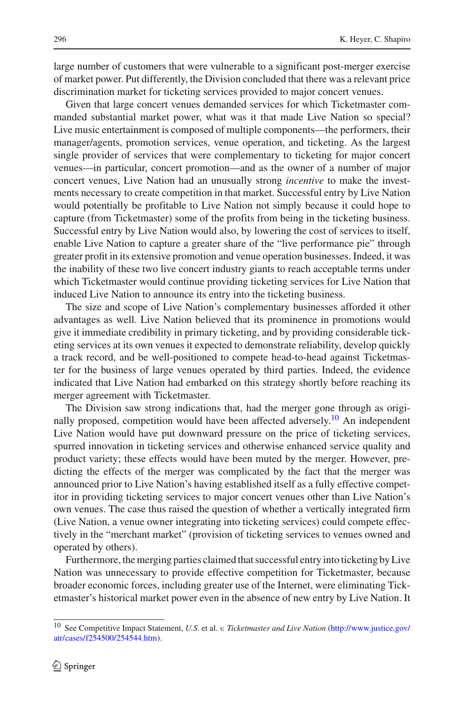large number of customers that were vulnerable to a significant post-merger exercise of market power. Put differently, the Division concluded that there was a relevant price discrimination market for ticketing services provided to major concert venues.

Given that large concert venues demanded services for which Ticketmaster commanded substantial market power, what was it that made Live Nation so special? Live music entertainment is composed of multiple components—the performers, their manager/agents, promotion services, venue operation, and ticketing. As the largest single provider of services that were complementary to ticketing for major concert venues—in particular, concert promotion—and as the owner of a number of major concert venues, Live Nation had an unusually strong *incentive* to make the investments necessary to create competition in that market. Successful entry by Live Nation would potentially be profitable to Live Nation not simply because it could hope to capture (from Ticketmaster) some of the profits from being in the ticketing business. Successful entry by Live Nation would also, by lowering the cost of services to itself, enable Live Nation to capture a greater share of the "live performance pie" through greater profit in its extensive promotion and venue operation businesses. Indeed, it was the inability of these two live concert industry giants to reach acceptable terms under which Ticketmaster would continue providing ticketing services for Live Nation that induced Live Nation to announce its entry into the ticketing business.

The size and scope of Live Nation's complementary businesses afforded it other advantages as well. Live Nation believed that its prominence in promotions would give it immediate credibility in primary ticketing, and by providing considerable ticketing services at its own venues it expected to demonstrate reliability, develop quickly a track record, and be well-positioned to compete head-to-head against Ticketmaster for the business of large venues operated by third parties. Indeed, the evidence indicated that Live Nation had embarked on this strategy shortly before reaching its merger agreement with Ticketmaster.

The Division saw strong indications that, had the merger gone through as origi-nally proposed, competition would have been affected adversely.<sup>[10](#page-5-0)</sup> An independent Live Nation would have put downward pressure on the price of ticketing services, spurred innovation in ticketing services and otherwise enhanced service quality and product variety; these effects would have been muted by the merger. However, predicting the effects of the merger was complicated by the fact that the merger was announced prior to Live Nation's having established itself as a fully effective competitor in providing ticketing services to major concert venues other than Live Nation's own venues. The case thus raised the question of whether a vertically integrated firm (Live Nation, a venue owner integrating into ticketing services) could compete effectively in the "merchant market" (provision of ticketing services to venues owned and operated by others).

Furthermore, the merging parties claimed that successful entry into ticketing by Live Nation was unnecessary to provide effective competition for Ticketmaster, because broader economic forces, including greater use of the Internet, were eliminating Ticketmaster's historical market power even in the absence of new entry by Live Nation. It

<span id="page-5-0"></span><sup>10</sup> See Competitive Impact Statement, *U.S.* et al. *v. Ticketmaster and Live Nation* [\(http://www.justice.gov/](http://www.justice.gov/atr/cases/f254500/254544.htm) [atr/cases/f254500/254544.htm\)](http://www.justice.gov/atr/cases/f254500/254544.htm).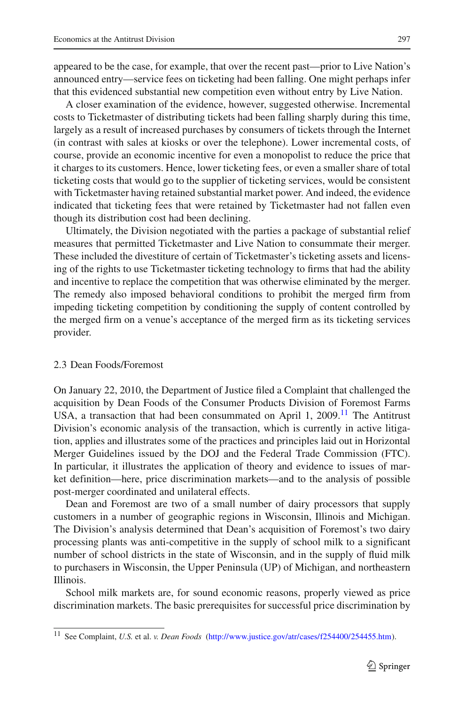appeared to be the case, for example, that over the recent past—prior to Live Nation's announced entry—service fees on ticketing had been falling. One might perhaps infer that this evidenced substantial new competition even without entry by Live Nation.

A closer examination of the evidence, however, suggested otherwise. Incremental costs to Ticketmaster of distributing tickets had been falling sharply during this time, largely as a result of increased purchases by consumers of tickets through the Internet (in contrast with sales at kiosks or over the telephone). Lower incremental costs, of course, provide an economic incentive for even a monopolist to reduce the price that it charges to its customers. Hence, lower ticketing fees, or even a smaller share of total ticketing costs that would go to the supplier of ticketing services, would be consistent with Ticketmaster having retained substantial market power. And indeed, the evidence indicated that ticketing fees that were retained by Ticketmaster had not fallen even though its distribution cost had been declining.

Ultimately, the Division negotiated with the parties a package of substantial relief measures that permitted Ticketmaster and Live Nation to consummate their merger. These included the divestiture of certain of Ticketmaster's ticketing assets and licensing of the rights to use Ticketmaster ticketing technology to firms that had the ability and incentive to replace the competition that was otherwise eliminated by the merger. The remedy also imposed behavioral conditions to prohibit the merged firm from impeding ticketing competition by conditioning the supply of content controlled by the merged firm on a venue's acceptance of the merged firm as its ticketing services provider.

## 2.3 Dean Foods/Foremost

On January 22, 2010, the Department of Justice filed a Complaint that challenged the acquisition by Dean Foods of the Consumer Products Division of Foremost Farms USA, a transaction that had been consummated on April 1, 2009.<sup>11</sup> The Antitrust Division's economic analysis of the transaction, which is currently in active litigation, applies and illustrates some of the practices and principles laid out in Horizontal Merger Guidelines issued by the DOJ and the Federal Trade Commission (FTC). In particular, it illustrates the application of theory and evidence to issues of market definition—here, price discrimination markets—and to the analysis of possible post-merger coordinated and unilateral effects.

Dean and Foremost are two of a small number of dairy processors that supply customers in a number of geographic regions in Wisconsin, Illinois and Michigan. The Division's analysis determined that Dean's acquisition of Foremost's two dairy processing plants was anti-competitive in the supply of school milk to a significant number of school districts in the state of Wisconsin, and in the supply of fluid milk to purchasers in Wisconsin, the Upper Peninsula (UP) of Michigan, and northeastern Illinois.

School milk markets are, for sound economic reasons, properly viewed as price discrimination markets. The basic prerequisites for successful price discrimination by

<span id="page-6-0"></span><sup>11</sup> See Complaint, *U.S.* et al. *v. Dean Foods* [\(http://www.justice.gov/atr/cases/f254400/254455.htm\)](http://www.justice.gov/atr/cases/f254400/254455.htm).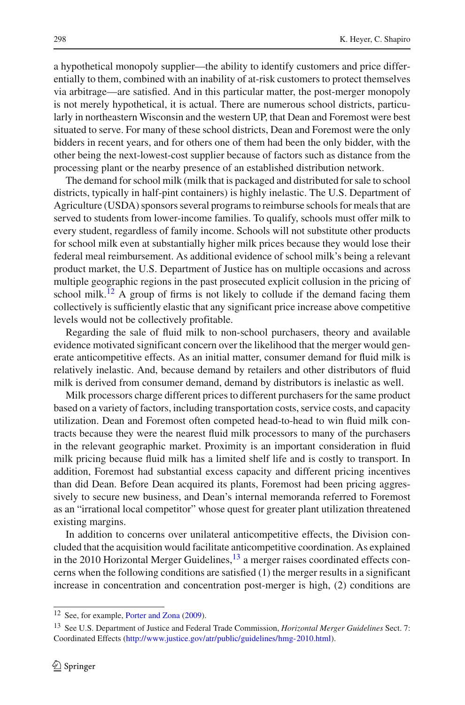a hypothetical monopoly supplier—the ability to identify customers and price differentially to them, combined with an inability of at-risk customers to protect themselves via arbitrage—are satisfied. And in this particular matter, the post-merger monopoly is not merely hypothetical, it is actual. There are numerous school districts, particularly in northeastern Wisconsin and the western UP, that Dean and Foremost were best situated to serve. For many of these school districts, Dean and Foremost were the only bidders in recent years, and for others one of them had been the only bidder, with the other being the next-lowest-cost supplier because of factors such as distance from the processing plant or the nearby presence of an established distribution network.

The demand for school milk (milk that is packaged and distributed for sale to school districts, typically in half-pint containers) is highly inelastic. The U.S. Department of Agriculture (USDA) sponsors several programs to reimburse schools for meals that are served to students from lower-income families. To qualify, schools must offer milk to every student, regardless of family income. Schools will not substitute other products for school milk even at substantially higher milk prices because they would lose their federal meal reimbursement. As additional evidence of school milk's being a relevant product market, the U.S. Department of Justice has on multiple occasions and across multiple geographic regions in the past prosecuted explicit collusion in the pricing of school milk.<sup>[12](#page-7-0)</sup> A group of firms is not likely to collude if the demand facing them collectively is sufficiently elastic that any significant price increase above competitive levels would not be collectively profitable.

Regarding the sale of fluid milk to non-school purchasers, theory and available evidence motivated significant concern over the likelihood that the merger would generate anticompetitive effects. As an initial matter, consumer demand for fluid milk is relatively inelastic. And, because demand by retailers and other distributors of fluid milk is derived from consumer demand, demand by distributors is inelastic as well.

Milk processors charge different prices to different purchasers for the same product based on a variety of factors, including transportation costs, service costs, and capacity utilization. Dean and Foremost often competed head-to-head to win fluid milk contracts because they were the nearest fluid milk processors to many of the purchasers in the relevant geographic market. Proximity is an important consideration in fluid milk pricing because fluid milk has a limited shelf life and is costly to transport. In addition, Foremost had substantial excess capacity and different pricing incentives than did Dean. Before Dean acquired its plants, Foremost had been pricing aggressively to secure new business, and Dean's internal memoranda referred to Foremost as an "irrational local competitor" whose quest for greater plant utilization threatened existing margins.

In addition to concerns over unilateral anticompetitive effects, the Division concluded that the acquisition would facilitate anticompetitive coordination. As explained in the 2010 Horizontal Merger Guidelines,  $^{13}$  $^{13}$  $^{13}$  a merger raises coordinated effects concerns when the following conditions are satisfied (1) the merger results in a significant increase in concentration and concentration post-merger is high, (2) conditions are

<sup>12</sup> See, for example, [Porter and Zona](#page-16-4) [\(2009\)](#page-16-4).

<span id="page-7-1"></span><span id="page-7-0"></span><sup>13</sup> See U.S. Department of Justice and Federal Trade Commission, *Horizontal Merger Guidelines* Sect. 7: Coordinated Effects [\(http://www.justice.gov/atr/public/guidelines/hmg-2010.html\)](http://www.justice.gov/atr/public/guidelines/hmg-2010.html).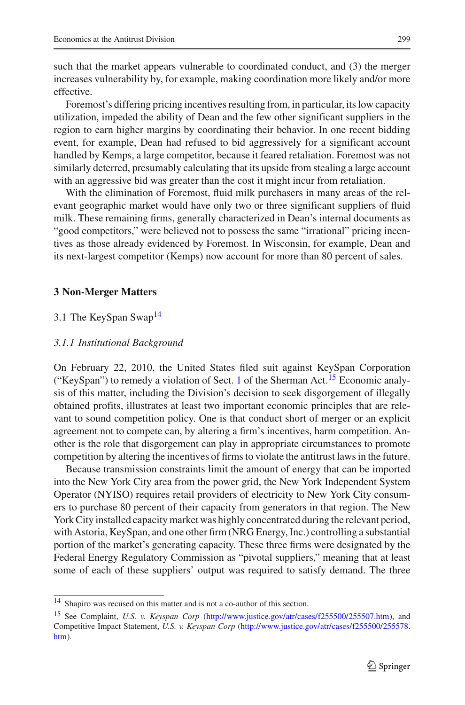such that the market appears vulnerable to coordinated conduct, and (3) the merger increases vulnerability by, for example, making coordination more likely and/or more effective.

Foremost's differing pricing incentives resulting from, in particular, its low capacity utilization, impeded the ability of Dean and the few other significant suppliers in the region to earn higher margins by coordinating their behavior. In one recent bidding event, for example, Dean had refused to bid aggressively for a significant account handled by Kemps, a large competitor, because it feared retaliation. Foremost was not similarly deterred, presumably calculating that its upside from stealing a large account with an aggressive bid was greater than the cost it might incur from retaliation.

With the elimination of Foremost, fluid milk purchasers in many areas of the relevant geographic market would have only two or three significant suppliers of fluid milk. These remaining firms, generally characterized in Dean's internal documents as "good competitors," were believed not to possess the same "irrational" pricing incentives as those already evidenced by Foremost. In Wisconsin, for example, Dean and its next-largest competitor (Kemps) now account for more than 80 percent of sales.

## <span id="page-8-0"></span>**3 Non-Merger Matters**

## 3.1 The KeySpan Swap<sup>14</sup>

#### *3.1.1 Institutional Background*

On February 22, 2010, the United States filed suit against KeySpan Corporation ("KeySpan") to remedy a violation of Sect. [1](#page-0-0) of the Sherman Act.<sup>[15](#page-8-2)</sup> Economic analysis of this matter, including the Division's decision to seek disgorgement of illegally obtained profits, illustrates at least two important economic principles that are relevant to sound competition policy. One is that conduct short of merger or an explicit agreement not to compete can, by altering a firm's incentives, harm competition. Another is the role that disgorgement can play in appropriate circumstances to promote competition by altering the incentives of firms to violate the antitrust laws in the future.

Because transmission constraints limit the amount of energy that can be imported into the New York City area from the power grid, the New York Independent System Operator (NYISO) requires retail providers of electricity to New York City consumers to purchase 80 percent of their capacity from generators in that region. The New York City installed capacity market was highly concentrated during the relevant period, with Astoria, KeySpan, and one other firm (NRG Energy, Inc.) controlling a substantial portion of the market's generating capacity. These three firms were designated by the Federal Energy Regulatory Commission as "pivotal suppliers," meaning that at least some of each of these suppliers' output was required to satisfy demand. The three

<sup>14</sup> Shapiro was recused on this matter and is not a co-author of this section.

<span id="page-8-2"></span><span id="page-8-1"></span><sup>15</sup> See Complaint, *U.S. v. Keyspan Corp* [\(http://www.justice.gov/atr/cases/f255500/255507.htm\)](http://www.justice.gov/atr/cases/f255500/255507.htm), and Competitive Impact Statement, *U.S. v. Keyspan Corp* [\(http://www.justice.gov/atr/cases/f255500/255578.](http://www.justice.gov/atr/cases/f255500/255578.htm) [htm\)](http://www.justice.gov/atr/cases/f255500/255578.htm).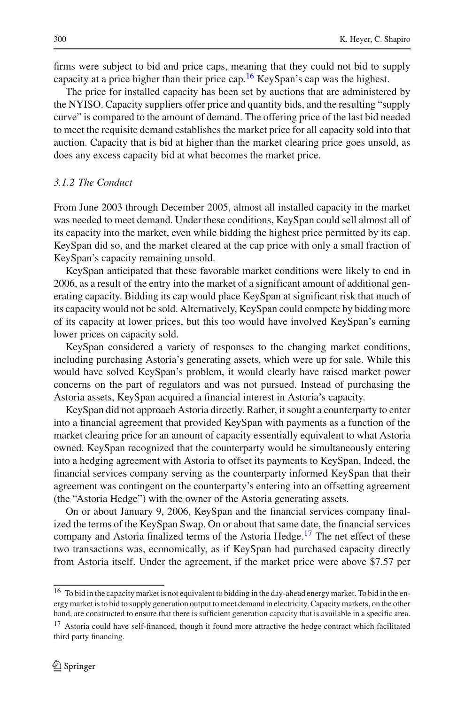firms were subject to bid and price caps, meaning that they could not bid to supply capacity at a price higher than their price cap.<sup>[16](#page-9-0)</sup> KeySpan's cap was the highest.

The price for installed capacity has been set by auctions that are administered by the NYISO. Capacity suppliers offer price and quantity bids, and the resulting "supply curve" is compared to the amount of demand. The offering price of the last bid needed to meet the requisite demand establishes the market price for all capacity sold into that auction. Capacity that is bid at higher than the market clearing price goes unsold, as does any excess capacity bid at what becomes the market price.

## *3.1.2 The Conduct*

From June 2003 through December 2005, almost all installed capacity in the market was needed to meet demand. Under these conditions, KeySpan could sell almost all of its capacity into the market, even while bidding the highest price permitted by its cap. KeySpan did so, and the market cleared at the cap price with only a small fraction of KeySpan's capacity remaining unsold.

KeySpan anticipated that these favorable market conditions were likely to end in 2006, as a result of the entry into the market of a significant amount of additional generating capacity. Bidding its cap would place KeySpan at significant risk that much of its capacity would not be sold. Alternatively, KeySpan could compete by bidding more of its capacity at lower prices, but this too would have involved KeySpan's earning lower prices on capacity sold.

KeySpan considered a variety of responses to the changing market conditions, including purchasing Astoria's generating assets, which were up for sale. While this would have solved KeySpan's problem, it would clearly have raised market power concerns on the part of regulators and was not pursued. Instead of purchasing the Astoria assets, KeySpan acquired a financial interest in Astoria's capacity.

KeySpan did not approach Astoria directly. Rather, it sought a counterparty to enter into a financial agreement that provided KeySpan with payments as a function of the market clearing price for an amount of capacity essentially equivalent to what Astoria owned. KeySpan recognized that the counterparty would be simultaneously entering into a hedging agreement with Astoria to offset its payments to KeySpan. Indeed, the financial services company serving as the counterparty informed KeySpan that their agreement was contingent on the counterparty's entering into an offsetting agreement (the "Astoria Hedge") with the owner of the Astoria generating assets.

On or about January 9, 2006, KeySpan and the financial services company finalized the terms of the KeySpan Swap. On or about that same date, the financial services company and Astoria finalized terms of the Astoria Hedge.<sup>[17](#page-9-1)</sup> The net effect of these two transactions was, economically, as if KeySpan had purchased capacity directly from Astoria itself. Under the agreement, if the market price were above \$7.57 per

<span id="page-9-0"></span><sup>&</sup>lt;sup>16</sup> To bid in the capacity market is not equivalent to bidding in the day-ahead energy market. To bid in the energy market is to bid to supply generation output to meet demand in electricity. Capacity markets, on the other hand, are constructed to ensure that there is sufficient generation capacity that is available in a specific area.

<span id="page-9-1"></span><sup>&</sup>lt;sup>17</sup> Astoria could have self-financed, though it found more attractive the hedge contract which facilitated third party financing.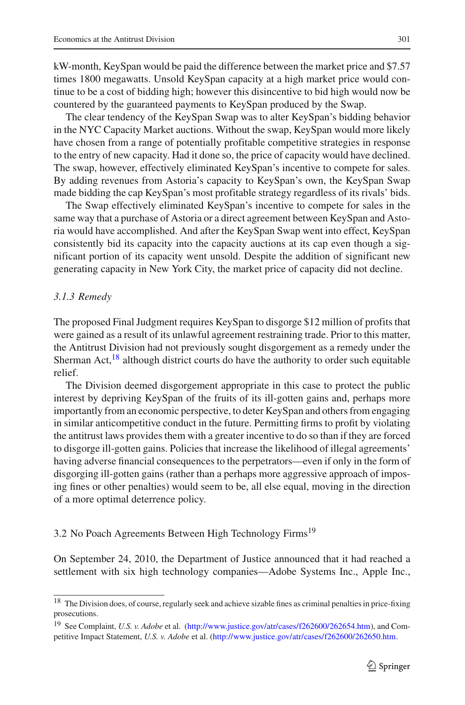kW-month, KeySpan would be paid the difference between the market price and \$7.57 times 1800 megawatts. Unsold KeySpan capacity at a high market price would continue to be a cost of bidding high; however this disincentive to bid high would now be countered by the guaranteed payments to KeySpan produced by the Swap.

The clear tendency of the KeySpan Swap was to alter KeySpan's bidding behavior in the NYC Capacity Market auctions. Without the swap, KeySpan would more likely have chosen from a range of potentially profitable competitive strategies in response to the entry of new capacity. Had it done so, the price of capacity would have declined. The swap, however, effectively eliminated KeySpan's incentive to compete for sales. By adding revenues from Astoria's capacity to KeySpan's own, the KeySpan Swap made bidding the cap KeySpan's most profitable strategy regardless of its rivals' bids.

The Swap effectively eliminated KeySpan's incentive to compete for sales in the same way that a purchase of Astoria or a direct agreement between KeySpan and Astoria would have accomplished. And after the KeySpan Swap went into effect, KeySpan consistently bid its capacity into the capacity auctions at its cap even though a significant portion of its capacity went unsold. Despite the addition of significant new generating capacity in New York City, the market price of capacity did not decline.

## *3.1.3 Remedy*

The proposed Final Judgment requires KeySpan to disgorge \$12 million of profits that were gained as a result of its unlawful agreement restraining trade. Prior to this matter, the Antitrust Division had not previously sought disgorgement as a remedy under the Sherman Act,  $^{18}$  $^{18}$  $^{18}$  although district courts do have the authority to order such equitable relief.

The Division deemed disgorgement appropriate in this case to protect the public interest by depriving KeySpan of the fruits of its ill-gotten gains and, perhaps more importantly from an economic perspective, to deter KeySpan and others from engaging in similar anticompetitive conduct in the future. Permitting firms to profit by violating the antitrust laws provides them with a greater incentive to do so than if they are forced to disgorge ill-gotten gains. Policies that increase the likelihood of illegal agreements' having adverse financial consequences to the perpetrators—even if only in the form of disgorging ill-gotten gains (rather than a perhaps more aggressive approach of imposing fines or other penalties) would seem to be, all else equal, moving in the direction of a more optimal deterrence policy.

# 3.2 No Poach Agreements Between High Technology Firms<sup>19</sup>

On September 24, 2010, the Department of Justice announced that it had reached a settlement with six high technology companies—Adobe Systems Inc., Apple Inc.,

<span id="page-10-0"></span><sup>&</sup>lt;sup>18</sup> The Division does, of course, regularly seek and achieve sizable fines as criminal penalties in price-fixing prosecutions.

<sup>&</sup>lt;sup>19</sup> See Complaint, *U.S. v. Adobe* et al. [\(http://www.justice.gov/atr/cases/f262600/262654.htm\)](http://www.justice.gov/atr/cases/f262600/262654.htm), and Competitive Impact Statement, *U.S. v. Adobe* et al. [\(http://www.justice.gov/atr/cases/f262600/262650.htm.](http://www.justice.gov/atr/cases/f262600/262650.htm)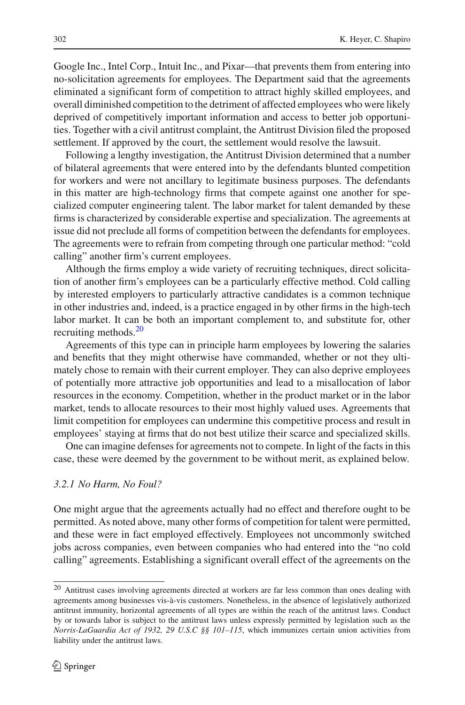Google Inc., Intel Corp., Intuit Inc., and Pixar—that prevents them from entering into no-solicitation agreements for employees. The Department said that the agreements eliminated a significant form of competition to attract highly skilled employees, and overall diminished competition to the detriment of affected employees who were likely deprived of competitively important information and access to better job opportunities. Together with a civil antitrust complaint, the Antitrust Division filed the proposed settlement. If approved by the court, the settlement would resolve the lawsuit.

Following a lengthy investigation, the Antitrust Division determined that a number of bilateral agreements that were entered into by the defendants blunted competition for workers and were not ancillary to legitimate business purposes. The defendants in this matter are high-technology firms that compete against one another for specialized computer engineering talent. The labor market for talent demanded by these firms is characterized by considerable expertise and specialization. The agreements at issue did not preclude all forms of competition between the defendants for employees. The agreements were to refrain from competing through one particular method: "cold calling" another firm's current employees.

Although the firms employ a wide variety of recruiting techniques, direct solicitation of another firm's employees can be a particularly effective method. Cold calling by interested employers to particularly attractive candidates is a common technique in other industries and, indeed, is a practice engaged in by other firms in the high-tech labor market. It can be both an important complement to, and substitute for, other recruiting methods. $20$ 

Agreements of this type can in principle harm employees by lowering the salaries and benefits that they might otherwise have commanded, whether or not they ultimately chose to remain with their current employer. They can also deprive employees of potentially more attractive job opportunities and lead to a misallocation of labor resources in the economy. Competition, whether in the product market or in the labor market, tends to allocate resources to their most highly valued uses. Agreements that limit competition for employees can undermine this competitive process and result in employees' staying at firms that do not best utilize their scarce and specialized skills.

One can imagine defenses for agreements not to compete. In light of the facts in this case, these were deemed by the government to be without merit, as explained below.

## *3.2.1 No Harm, No Foul?*

One might argue that the agreements actually had no effect and therefore ought to be permitted. As noted above, many other forms of competition for talent were permitted, and these were in fact employed effectively. Employees not uncommonly switched jobs across companies, even between companies who had entered into the "no cold calling" agreements. Establishing a significant overall effect of the agreements on the

<span id="page-11-0"></span><sup>20</sup> Antitrust cases involving agreements directed at workers are far less common than ones dealing with agreements among businesses vis-à-vis customers. Nonetheless, in the absence of legislatively authorized antitrust immunity, horizontal agreements of all types are within the reach of the antitrust laws. Conduct by or towards labor is subject to the antitrust laws unless expressly permitted by legislation such as the *Norris-LaGuardia Act of 1932, 29 U.S.C §§ 101–115*, which immunizes certain union activities from liability under the antitrust laws.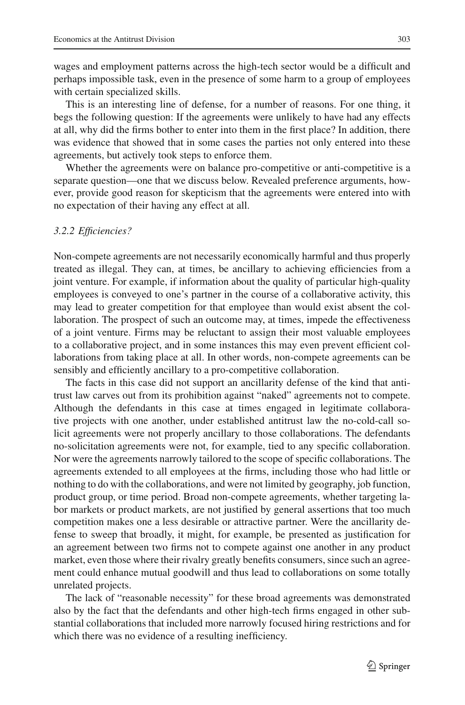wages and employment patterns across the high-tech sector would be a difficult and perhaps impossible task, even in the presence of some harm to a group of employees with certain specialized skills.

This is an interesting line of defense, for a number of reasons. For one thing, it begs the following question: If the agreements were unlikely to have had any effects at all, why did the firms bother to enter into them in the first place? In addition, there was evidence that showed that in some cases the parties not only entered into these agreements, but actively took steps to enforce them.

Whether the agreements were on balance pro-competitive or anti-competitive is a separate question—one that we discuss below. Revealed preference arguments, however, provide good reason for skepticism that the agreements were entered into with no expectation of their having any effect at all.

#### *3.2.2 Efficiencies?*

Non-compete agreements are not necessarily economically harmful and thus properly treated as illegal. They can, at times, be ancillary to achieving efficiencies from a joint venture. For example, if information about the quality of particular high-quality employees is conveyed to one's partner in the course of a collaborative activity, this may lead to greater competition for that employee than would exist absent the collaboration. The prospect of such an outcome may, at times, impede the effectiveness of a joint venture. Firms may be reluctant to assign their most valuable employees to a collaborative project, and in some instances this may even prevent efficient collaborations from taking place at all. In other words, non-compete agreements can be sensibly and efficiently ancillary to a pro-competitive collaboration.

The facts in this case did not support an ancillarity defense of the kind that antitrust law carves out from its prohibition against "naked" agreements not to compete. Although the defendants in this case at times engaged in legitimate collaborative projects with one another, under established antitrust law the no-cold-call solicit agreements were not properly ancillary to those collaborations. The defendants no-solicitation agreements were not, for example, tied to any specific collaboration. Nor were the agreements narrowly tailored to the scope of specific collaborations. The agreements extended to all employees at the firms, including those who had little or nothing to do with the collaborations, and were not limited by geography, job function, product group, or time period. Broad non-compete agreements, whether targeting labor markets or product markets, are not justified by general assertions that too much competition makes one a less desirable or attractive partner. Were the ancillarity defense to sweep that broadly, it might, for example, be presented as justification for an agreement between two firms not to compete against one another in any product market, even those where their rivalry greatly benefits consumers, since such an agreement could enhance mutual goodwill and thus lead to collaborations on some totally unrelated projects.

The lack of "reasonable necessity" for these broad agreements was demonstrated also by the fact that the defendants and other high-tech firms engaged in other substantial collaborations that included more narrowly focused hiring restrictions and for which there was no evidence of a resulting inefficiency.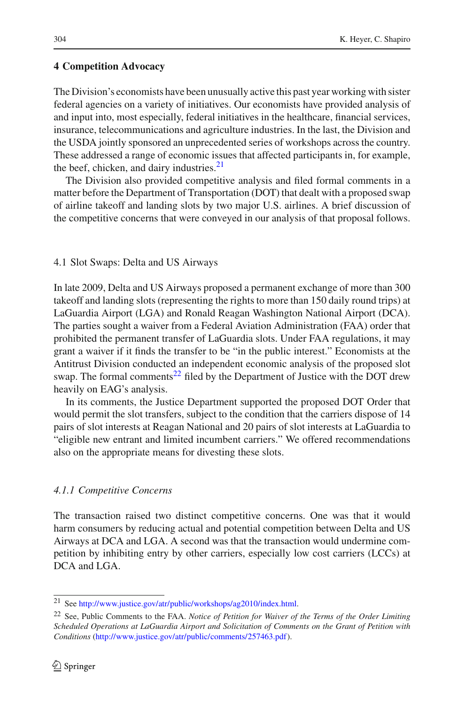## **4 Competition Advocacy**

The Division's economists have been unusually active this past year working with sister federal agencies on a variety of initiatives. Our economists have provided analysis of and input into, most especially, federal initiatives in the healthcare, financial services, insurance, telecommunications and agriculture industries. In the last, the Division and the USDA jointly sponsored an unprecedented series of workshops across the country. These addressed a range of economic issues that affected participants in, for example, the beef, chicken, and dairy industries.<sup>21</sup>

The Division also provided competitive analysis and filed formal comments in a matter before the Department of Transportation (DOT) that dealt with a proposed swap of airline takeoff and landing slots by two major U.S. airlines. A brief discussion of the competitive concerns that were conveyed in our analysis of that proposal follows.

#### 4.1 Slot Swaps: Delta and US Airways

In late 2009, Delta and US Airways proposed a permanent exchange of more than 300 takeoff and landing slots (representing the rights to more than 150 daily round trips) at LaGuardia Airport (LGA) and Ronald Reagan Washington National Airport (DCA). The parties sought a waiver from a Federal Aviation Administration (FAA) order that prohibited the permanent transfer of LaGuardia slots. Under FAA regulations, it may grant a waiver if it finds the transfer to be "in the public interest." Economists at the Antitrust Division conducted an independent economic analysis of the proposed slot swap. The formal comments<sup>22</sup> filed by the Department of Justice with the DOT drew heavily on EAG's analysis.

In its comments, the Justice Department supported the proposed DOT Order that would permit the slot transfers, subject to the condition that the carriers dispose of 14 pairs of slot interests at Reagan National and 20 pairs of slot interests at LaGuardia to "eligible new entrant and limited incumbent carriers." We offered recommendations also on the appropriate means for divesting these slots.

## *4.1.1 Competitive Concerns*

The transaction raised two distinct competitive concerns. One was that it would harm consumers by reducing actual and potential competition between Delta and US Airways at DCA and LGA. A second was that the transaction would undermine competition by inhibiting entry by other carriers, especially low cost carriers (LCCs) at DCA and LGA.

<sup>21</sup> See [http://www.justice.gov/atr/public/workshops/ag2010/index.html.](http://www.justice.gov/atr/public/workshops/ag2010/index.html)

<span id="page-13-1"></span><span id="page-13-0"></span><sup>22</sup> See, Public Comments to the FAA. *Notice of Petition for Waiver of the Terms of the Order Limiting Scheduled Operations at LaGuardia Airport and Solicitation of Comments on the Grant of Petition with Conditions* [\(http://www.justice.gov/atr/public/comments/257463.pdf\)](http://www.justice.gov/atr/public/comments/257463.pdf).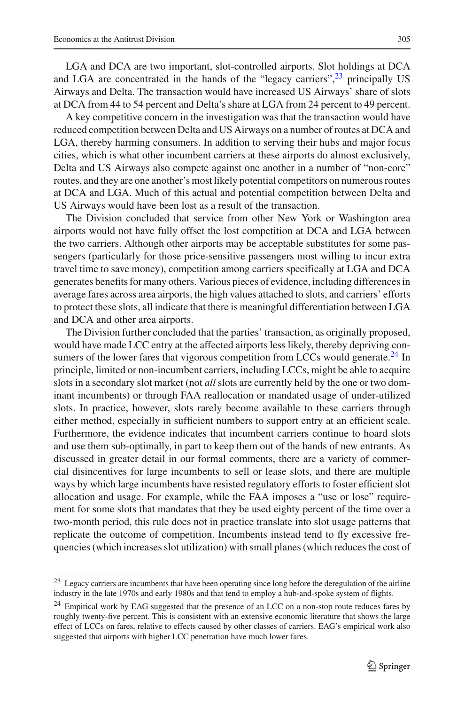LGA and DCA are two important, slot-controlled airports. Slot holdings at DCA and LGA are concentrated in the hands of the "legacy carriers",  $^{23}$  principally US Airways and Delta. The transaction would have increased US Airways' share of slots at DCA from 44 to 54 percent and Delta's share at LGA from 24 percent to 49 percent.

A key competitive concern in the investigation was that the transaction would have reduced competition between Delta and US Airways on a number of routes at DCA and LGA, thereby harming consumers. In addition to serving their hubs and major focus cities, which is what other incumbent carriers at these airports do almost exclusively, Delta and US Airways also compete against one another in a number of "non-core" routes, and they are one another's most likely potential competitors on numerous routes at DCA and LGA. Much of this actual and potential competition between Delta and US Airways would have been lost as a result of the transaction.

The Division concluded that service from other New York or Washington area airports would not have fully offset the lost competition at DCA and LGA between the two carriers. Although other airports may be acceptable substitutes for some passengers (particularly for those price-sensitive passengers most willing to incur extra travel time to save money), competition among carriers specifically at LGA and DCA generates benefits for many others. Various pieces of evidence, including differences in average fares across area airports, the high values attached to slots, and carriers' efforts to protect these slots, all indicate that there is meaningful differentiation between LGA and DCA and other area airports.

The Division further concluded that the parties' transaction, as originally proposed, would have made LCC entry at the affected airports less likely, thereby depriving con-sumers of the lower fares that vigorous competition from LCCs would generate.<sup>[24](#page-14-1)</sup> In principle, limited or non-incumbent carriers, including LCCs, might be able to acquire slots in a secondary slot market (not *all* slots are currently held by the one or two dominant incumbents) or through FAA reallocation or mandated usage of under-utilized slots. In practice, however, slots rarely become available to these carriers through either method, especially in sufficient numbers to support entry at an efficient scale. Furthermore, the evidence indicates that incumbent carriers continue to hoard slots and use them sub-optimally, in part to keep them out of the hands of new entrants. As discussed in greater detail in our formal comments, there are a variety of commercial disincentives for large incumbents to sell or lease slots, and there are multiple ways by which large incumbents have resisted regulatory efforts to foster efficient slot allocation and usage. For example, while the FAA imposes a "use or lose" requirement for some slots that mandates that they be used eighty percent of the time over a two-month period, this rule does not in practice translate into slot usage patterns that replicate the outcome of competition. Incumbents instead tend to fly excessive frequencies (which increases slot utilization) with small planes (which reduces the cost of

<span id="page-14-0"></span><sup>&</sup>lt;sup>23</sup> Legacy carriers are incumbents that have been operating since long before the deregulation of the airline industry in the late 1970s and early 1980s and that tend to employ a hub-and-spoke system of flights.

<span id="page-14-1"></span><sup>&</sup>lt;sup>24</sup> Empirical work by EAG suggested that the presence of an LCC on a non-stop route reduces fares by roughly twenty-five percent. This is consistent with an extensive economic literature that shows the large effect of LCCs on fares, relative to effects caused by other classes of carriers. EAG's empirical work also suggested that airports with higher LCC penetration have much lower fares.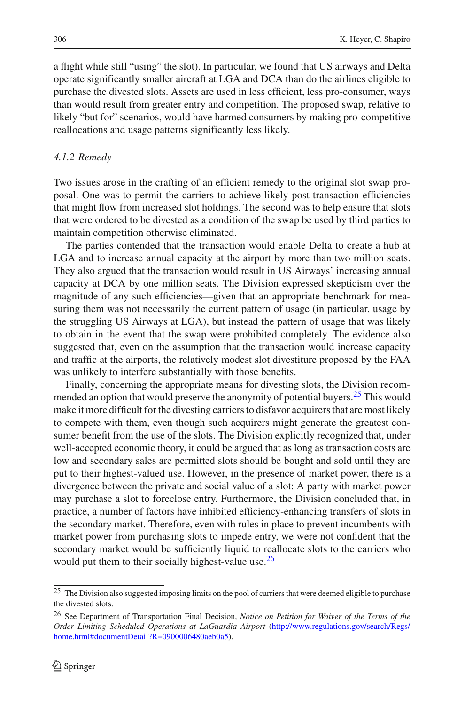a flight while still "using" the slot). In particular, we found that US airways and Delta operate significantly smaller aircraft at LGA and DCA than do the airlines eligible to purchase the divested slots. Assets are used in less efficient, less pro-consumer, ways than would result from greater entry and competition. The proposed swap, relative to likely "but for" scenarios, would have harmed consumers by making pro-competitive reallocations and usage patterns significantly less likely.

## *4.1.2 Remedy*

Two issues arose in the crafting of an efficient remedy to the original slot swap proposal. One was to permit the carriers to achieve likely post-transaction efficiencies that might flow from increased slot holdings. The second was to help ensure that slots that were ordered to be divested as a condition of the swap be used by third parties to maintain competition otherwise eliminated.

The parties contended that the transaction would enable Delta to create a hub at LGA and to increase annual capacity at the airport by more than two million seats. They also argued that the transaction would result in US Airways' increasing annual capacity at DCA by one million seats. The Division expressed skepticism over the magnitude of any such efficiencies—given that an appropriate benchmark for measuring them was not necessarily the current pattern of usage (in particular, usage by the struggling US Airways at LGA), but instead the pattern of usage that was likely to obtain in the event that the swap were prohibited completely. The evidence also suggested that, even on the assumption that the transaction would increase capacity and traffic at the airports, the relatively modest slot divestiture proposed by the FAA was unlikely to interfere substantially with those benefits.

Finally, concerning the appropriate means for divesting slots, the Division recommended an option that would preserve the anonymity of potential buyers.<sup>25</sup> This would make it more difficult for the divesting carriers to disfavor acquirers that are most likely to compete with them, even though such acquirers might generate the greatest consumer benefit from the use of the slots. The Division explicitly recognized that, under well-accepted economic theory, it could be argued that as long as transaction costs are low and secondary sales are permitted slots should be bought and sold until they are put to their highest-valued use. However, in the presence of market power, there is a divergence between the private and social value of a slot: A party with market power may purchase a slot to foreclose entry. Furthermore, the Division concluded that, in practice, a number of factors have inhibited efficiency-enhancing transfers of slots in the secondary market. Therefore, even with rules in place to prevent incumbents with market power from purchasing slots to impede entry, we were not confident that the secondary market would be sufficiently liquid to reallocate slots to the carriers who would put them to their socially highest-value use.<sup>26</sup>

<span id="page-15-0"></span><sup>&</sup>lt;sup>25</sup> The Division also suggested imposing limits on the pool of carriers that were deemed eligible to purchase the divested slots.

<span id="page-15-1"></span><sup>26</sup> See Department of Transportation Final Decision, *Notice on Petition for Waiver of the Terms of the Order Limiting Scheduled Operations at LaGuardia Airport* [\(http://www.regulations.gov/search/Regs/](http://www.regulations.gov/search/Regs/home.html#documentDetail?R=0900006480aeb0a5) [home.html#documentDetail?R=0900006480aeb0a5\)](http://www.regulations.gov/search/Regs/home.html#documentDetail?R=0900006480aeb0a5).